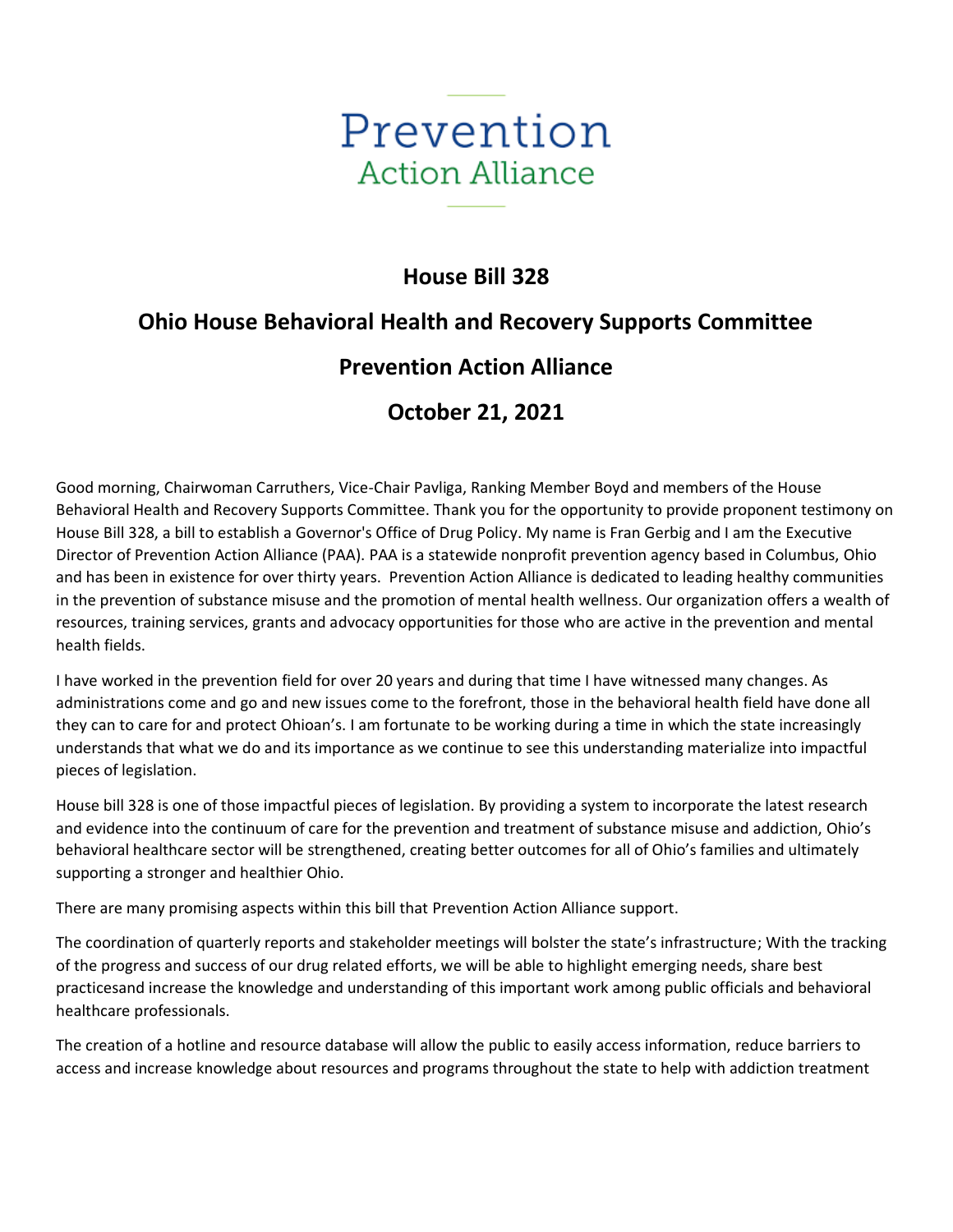

## **House Bill 328**

## **Ohio House Behavioral Health and Recovery Supports Committee**

## **Prevention Action Alliance**

## **October 21, 2021**

Good morning, Chairwoman Carruthers, Vice-Chair Pavliga, Ranking Member Boyd and members of the House Behavioral Health and Recovery Supports Committee. Thank you for the opportunity to provide proponent testimony on House Bill 328, a bill to establish a Governor's Office of Drug Policy. My name is Fran Gerbig and I am the Executive Director of Prevention Action Alliance (PAA). PAA is a statewide nonprofit prevention agency based in Columbus, Ohio and has been in existence for over thirty years. Prevention Action Alliance is dedicated to leading healthy communities in the prevention of substance misuse and the promotion of mental health wellness. Our organization offers a wealth of resources, training services, grants and advocacy opportunities for those who are active in the prevention and mental health fields.

I have worked in the prevention field for over 20 years and during that time I have witnessed many changes. As administrations come and go and new issues come to the forefront, those in the behavioral health field have done all they can to care for and protect Ohioan's. I am fortunate to be working during a time in which the state increasingly understands that what we do and its importance as we continue to see this understanding materialize into impactful pieces of legislation.

House bill 328 is one of those impactful pieces of legislation. By providing a system to incorporate the latest research and evidence into the continuum of care for the prevention and treatment of substance misuse and addiction, Ohio's behavioral healthcare sector will be strengthened, creating better outcomes for all of Ohio's families and ultimately supporting a stronger and healthier Ohio.

There are many promising aspects within this bill that Prevention Action Alliance support.

The coordination of quarterly reports and stakeholder meetings will bolster the state's infrastructure; With the tracking of the progress and success of our drug related efforts, we will be able to highlight emerging needs, share best practicesand increase the knowledge and understanding of this important work among public officials and behavioral healthcare professionals.

The creation of a hotline and resource database will allow the public to easily access information, reduce barriers to access and increase knowledge about resources and programs throughout the state to help with addiction treatment